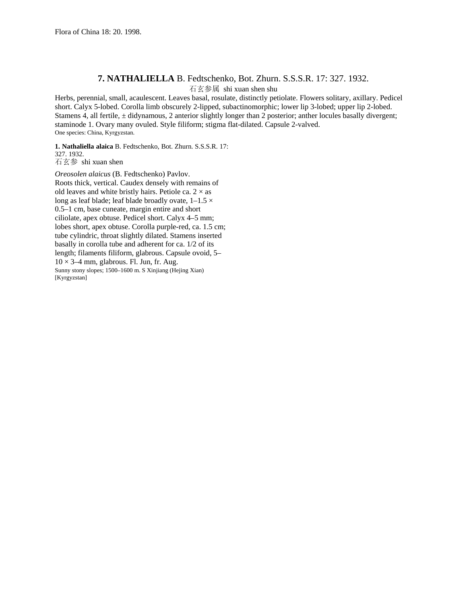## **7. NATHALIELLA** B. Fedtschenko, Bot. Zhurn. S.S.S.R. 17: 327. 1932. 石玄参属 shi xuan shen shu

Herbs, perennial, small, acaulescent. Leaves basal, rosulate, distinctly petiolate. Flowers solitary, axillary. Pedicel short. Calyx 5-lobed. Corolla limb obscurely 2-lipped, subactinomorphic; lower lip 3-lobed; upper lip 2-lobed. Stamens 4, all fertile, ± didynamous, 2 anterior slightly longer than 2 posterior; anther locules basally divergent; staminode 1. Ovary many ovuled. Style filiform; stigma flat-dilated. Capsule 2-valved. One species: China, Kyrgyzstan.

**1. Nathaliella alaica** B. Fedtschenko, Bot. Zhurn. S.S.S.R. 17: 327. 1932. 石玄参 shi xuan shen

*Oreosolen alaicus* (B. Fedtschenko) Pavlov. Roots thick, vertical. Caudex densely with remains of old leaves and white bristly hairs. Petiole ca.  $2 \times$  as long as leaf blade; leaf blade broadly ovate,  $1-1.5 \times$ 0.5–1 cm, base cuneate, margin entire and short ciliolate, apex obtuse. Pedicel short. Calyx 4–5 mm; lobes short, apex obtuse. Corolla purple-red, ca. 1.5 cm; tube cylindric, throat slightly dilated. Stamens inserted basally in corolla tube and adherent for ca. 1/2 of its length; filaments filiform, glabrous. Capsule ovoid, 5–  $10 \times 3-4$  mm, glabrous. Fl. Jun, fr. Aug. Sunny stony slopes; 1500–1600 m. S Xinjiang (Hejing Xian) [Kyrgyzstan]